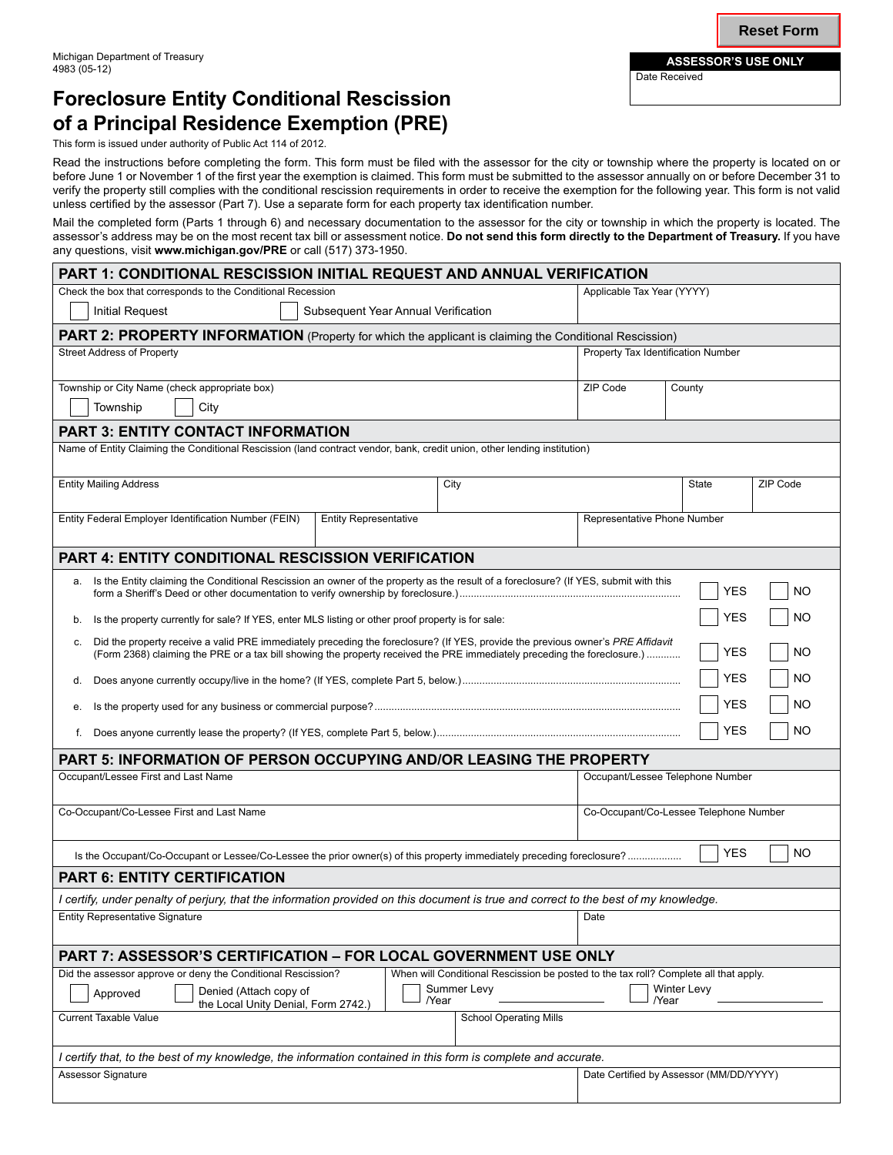# **Foreclosure Entity Conditional Rescission of a Principal Residence Exemption (PRE)**

This form is issued under authority of Public Act 114 of 2012.

Read the instructions before completing the form. This form must be filed with the assessor for the city or township where the property is located on or before June 1 or November 1 of the first year the exemption is claimed. This form must be submitted to the assessor annually on or before December 31 to verify the property still complies with the conditional rescission requirements in order to receive the exemption for the following year. This form is not valid unless certified by the assessor (Part 7). Use a separate form for each property tax identification number.

Mail the completed form (Parts 1 through 6) and necessary documentation to the assessor for the city or township in which the property is located. The assessor's address may be on the most recent tax bill or assessment notice. **Do not send this form directly to the Department of Treasury.** If you have any questions, visit **www.michigan.gov/PRE** or call (517) 373-1950.

| <b>PART 1: CONDITIONAL RESCISSION INITIAL REQUEST AND ANNUAL VERIFICATION</b>                                                                                                                                                                                                                |      |                                         |                          |
|----------------------------------------------------------------------------------------------------------------------------------------------------------------------------------------------------------------------------------------------------------------------------------------------|------|-----------------------------------------|--------------------------|
| Check the box that corresponds to the Conditional Recession                                                                                                                                                                                                                                  |      | Applicable Tax Year (YYYY)              |                          |
| <b>Initial Request</b><br>Subsequent Year Annual Verification                                                                                                                                                                                                                                |      |                                         |                          |
| <b>PART 2: PROPERTY INFORMATION</b> (Property for which the applicant is claiming the Conditional Rescission)                                                                                                                                                                                |      |                                         |                          |
| <b>Street Address of Property</b>                                                                                                                                                                                                                                                            |      | Property Tax Identification Number      |                          |
| Township or City Name (check appropriate box)                                                                                                                                                                                                                                                |      | ZIP Code<br>County                      |                          |
| Township<br>City                                                                                                                                                                                                                                                                             |      |                                         |                          |
| <b>PART 3: ENTITY CONTACT INFORMATION</b>                                                                                                                                                                                                                                                    |      |                                         |                          |
| Name of Entity Claiming the Conditional Rescission (land contract vendor, bank, credit union, other lending institution)                                                                                                                                                                     |      |                                         |                          |
| <b>Entity Mailing Address</b>                                                                                                                                                                                                                                                                | City |                                         | <b>State</b><br>ZIP Code |
| Entity Federal Employer Identification Number (FEIN)<br><b>Entity Representative</b>                                                                                                                                                                                                         |      | Representative Phone Number             |                          |
| <b>PART 4: ENTITY CONDITIONAL RESCISSION VERIFICATION</b>                                                                                                                                                                                                                                    |      |                                         |                          |
| Is the Entity claiming the Conditional Rescission an owner of the property as the result of a foreclosure? (If YES, submit with this<br>а.<br><b>NO</b><br>YES                                                                                                                               |      |                                         |                          |
| <b>YES</b><br><b>NO</b><br>Is the property currently for sale? If YES, enter MLS listing or other proof property is for sale:<br>b.                                                                                                                                                          |      |                                         |                          |
| Did the property receive a valid PRE immediately preceding the foreclosure? (If YES, provide the previous owner's PRE Affidavit<br>c.<br><b>YES</b><br><b>NO</b><br>(Form 2368) claiming the PRE or a tax bill showing the property received the PRE immediately preceding the foreclosure.) |      |                                         |                          |
| d.                                                                                                                                                                                                                                                                                           |      |                                         | <b>YES</b><br><b>NO</b>  |
| е.                                                                                                                                                                                                                                                                                           |      |                                         | <b>YES</b><br><b>NO</b>  |
| <b>YES</b><br><b>NO</b><br>f.                                                                                                                                                                                                                                                                |      |                                         |                          |
| PART 5: INFORMATION OF PERSON OCCUPYING AND/OR LEASING THE PROPERTY                                                                                                                                                                                                                          |      |                                         |                          |
| Occupant/Lessee First and Last Name                                                                                                                                                                                                                                                          |      | Occupant/Lessee Telephone Number        |                          |
| Co-Occupant/Co-Lessee First and Last Name                                                                                                                                                                                                                                                    |      | Co-Occupant/Co-Lessee Telephone Number  |                          |
|                                                                                                                                                                                                                                                                                              |      |                                         | <b>YES</b><br><b>NO</b>  |
| <b>PART 6: ENTITY CERTIFICATION</b>                                                                                                                                                                                                                                                          |      |                                         |                          |
| I certify, under penalty of perjury, that the information provided on this document is true and correct to the best of my knowledge.                                                                                                                                                         |      |                                         |                          |
| <b>Entity Representative Signature</b>                                                                                                                                                                                                                                                       |      | Date                                    |                          |
| <b>PART 7: ASSESSOR'S CERTIFICATION - FOR LOCAL GOVERNMENT USE ONLY</b>                                                                                                                                                                                                                      |      |                                         |                          |
| Did the assessor approve or deny the Conditional Rescission?<br>When will Conditional Rescission be posted to the tax roll? Complete all that apply.<br>Summer Levy<br>Winter Levy<br>Denied (Attach copy of<br>Approved<br>/Year<br>/Year<br>the Local Unity Denial, Form 2742.)            |      |                                         |                          |
| <b>Current Taxable Value</b><br><b>School Operating Mills</b>                                                                                                                                                                                                                                |      |                                         |                          |
| I certify that, to the best of my knowledge, the information contained in this form is complete and accurate.                                                                                                                                                                                |      |                                         |                          |
| <b>Assessor Signature</b>                                                                                                                                                                                                                                                                    |      | Date Certified by Assessor (MM/DD/YYYY) |                          |

Date Received